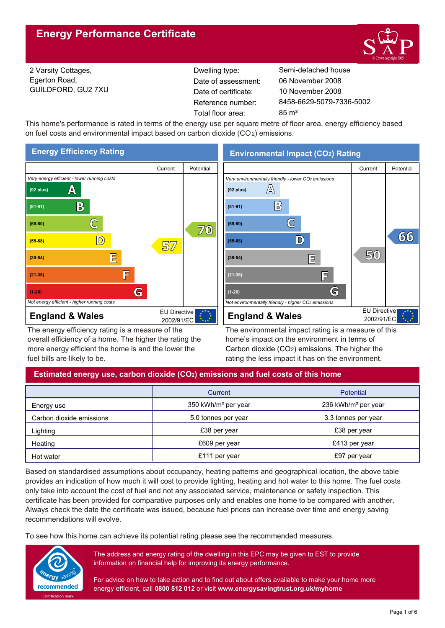

2 Varsity Cottages, Egerton Road, GUILDFORD, GU2 7XU Reference number: Date of certificate: Total floor area: 85 m<sup>2</sup> Date of assessment:

Dwelling type: Semi-detached house 8458-6629-5079-7336-5002 10 November 2008 06 November 2008

This home's performance is rated in terms of the energy use per square metre of floor area, energy efficiency based on fuel costs and environmental impact based on carbon dioxide (CO2) emissions.



The energy efficiency rating is a measure of the overall efficiency of a home. The higher the rating the more energy efficient the home is and the lower the fuel bills are likely to be.

**Environmental Impact (CO2) Rating**



The environmental impact rating is a measure of this home's impact on the environment in terms of Carbon dioxide (CO2) emissions. The higher the rating the less impact it has on the environment.

## **Estimated energy use, carbon dioxide (CO2) emissions and fuel costs of this home**

|                          | Current                         | <b>Potential</b>                |
|--------------------------|---------------------------------|---------------------------------|
| Energy use               | 350 kWh/m <sup>2</sup> per year | 236 kWh/m <sup>2</sup> per year |
| Carbon dioxide emissions | 5.0 tonnes per year             | 3.3 tonnes per year             |
| Lighting                 | £38 per year                    | £38 per year                    |
| Heating                  | £609 per year                   | £413 per year                   |
| Hot water                | £111 per year                   | £97 per year                    |

Based on standardised assumptions about occupancy, heating patterns and geographical location, the above table provides an indication of how much it will cost to provide lighting, heating and hot water to this home. The fuel costs only take into account the cost of fuel and not any associated service, maintenance or safety inspection. This certificate has been provided for comparative purposes only and enables one home to be compared with another. Always check the date the certificate was issued, because fuel prices can increase over time and energy saving recommendations will evolve.

To see how this home can achieve its potential rating please see the recommended measures.



The address and energy rating of the dwelling in this EPC may be given to EST to provide information on financial help for improving its energy performance.

For advice on how to take action and to find out about offers available to make your home more energy efficient, call **0800 512 012** or visit **www.energysavingtrust.org.uk/myhome**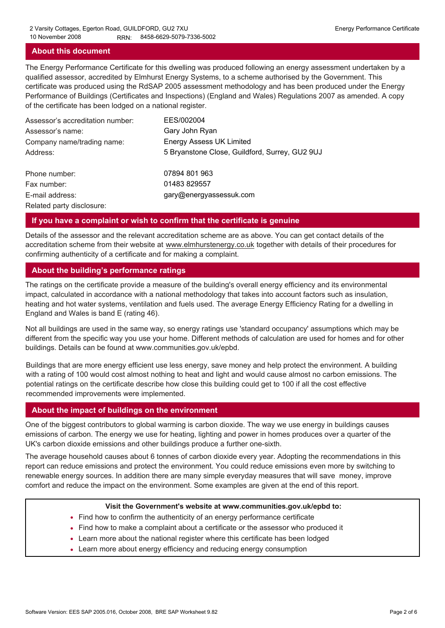### **About this document**

The Energy Performance Certificate for this dwelling was produced following an energy assessment undertaken by a qualified assessor, accredited by Elmhurst Energy Systems, to a scheme authorised by the Government. This certificate was produced using the RdSAP 2005 assessment methodology and has been produced under the Energy Performance of Buildings (Certificates and Inspections) (England and Wales) Regulations 2007 as amended. A copy of the certificate has been lodged on a national register.

| Assessor's accreditation number: | EES/002004                                     |
|----------------------------------|------------------------------------------------|
| Assessor's name:                 | Gary John Ryan                                 |
| Company name/trading name:       | <b>Energy Assess UK Limited</b>                |
| Address:                         | 5 Bryanstone Close, Guildford, Surrey, GU2 9UJ |
| Phone number:                    | 07894 801 963                                  |
| Fax number:                      | 01483 829557                                   |
| E-mail address:                  | gary@energyassessuk.com                        |
| Related party disclosure:        |                                                |

### **If you have a complaint or wish to confirm that the certificate is genuine**

Details of the assessor and the relevant accreditation scheme are as above. You can get contact details of the accreditation scheme from their website at www.elmhurstenergy.co.uk together with details of their procedures for confirming authenticity of a certificate and for making a complaint.

### **About the building's performance ratings**

The ratings on the certificate provide a measure of the building's overall energy efficiency and its environmental impact, calculated in accordance with a national methodology that takes into account factors such as insulation, heating and hot water systems, ventilation and fuels used. The average Energy Efficiency Rating for a dwelling in England and Wales is band E (rating 46).

Not all buildings are used in the same way, so energy ratings use 'standard occupancy' assumptions which may be different from the specific way you use your home. Different methods of calculation are used for homes and for other buildings. Details can be found at www.communities.gov.uk/epbd.

Buildings that are more energy efficient use less energy, save money and help protect the environment. A building with a rating of 100 would cost almost nothing to heat and light and would cause almost no carbon emissions. The potential ratings on the certificate describe how close this building could get to 100 if all the cost effective recommended improvements were implemented.

### **About the impact of buildings on the environment**

One of the biggest contributors to global warming is carbon dioxide. The way we use energy in buildings causes emissions of carbon. The energy we use for heating, lighting and power in homes produces over a quarter of the UK's carbon dioxide emissions and other buildings produce a further one-sixth.

The average household causes about 6 tonnes of carbon dioxide every year. Adopting the recommendations in this report can reduce emissions and protect the environment. You could reduce emissions even more by switching to renewable energy sources. In addition there are many simple everyday measures that will save money, improve comfort and reduce the impact on the environment. Some examples are given at the end of this report.

#### **Visit the Government's website at www.communities.gov.uk/epbd to:**

- Find how to confirm the authenticity of an energy performance certificate
- Find how to make a complaint about a certificate or the assessor who produced it •
- Learn more about the national register where this certificate has been lodged •
- Learn more about energy efficiency and reducing energy consumption •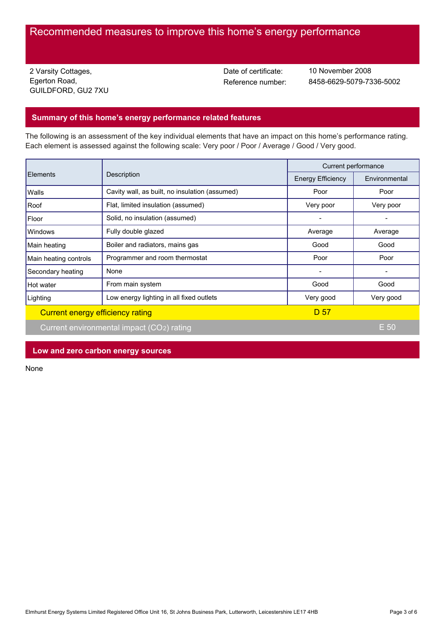# Recommended measures to improve this home's energy performance

2 Varsity Cottages, Egerton Road, GUILDFORD, GU2 7XU Date of certificate:

Reference number: 8458-6629-5079-7336-5002 10 November 2008

### **Summary of this home's energy performance related features**

The following is an assessment of the key individual elements that have an impact on this home's performance rating. Each element is assessed against the following scale: Very poor / Poor / Average / Good / Very good.

| Elements                         | Description                                    | Current performance      |               |
|----------------------------------|------------------------------------------------|--------------------------|---------------|
|                                  |                                                | <b>Energy Efficiency</b> | Environmental |
| Walls                            | Cavity wall, as built, no insulation (assumed) | Poor                     | Poor          |
| Roof                             | Flat, limited insulation (assumed)             | Very poor                | Very poor     |
| Floor                            | Solid, no insulation (assumed)                 |                          |               |
| Windows                          | Fully double glazed                            | Average                  | Average       |
| Main heating                     | Boiler and radiators, mains gas                | Good                     | Good          |
| Main heating controls            | Programmer and room thermostat                 | Poor                     | Poor          |
| Secondary heating                | None                                           |                          |               |
| Hot water                        | From main system                               | Good                     | Good          |
| Lighting                         | Low energy lighting in all fixed outlets       | Very good                | Very good     |
| Current energy efficiency rating |                                                | D 57                     |               |
|                                  | Current environmental impact (CO2) rating      |                          | E 50          |

**Low and zero carbon energy sources**

None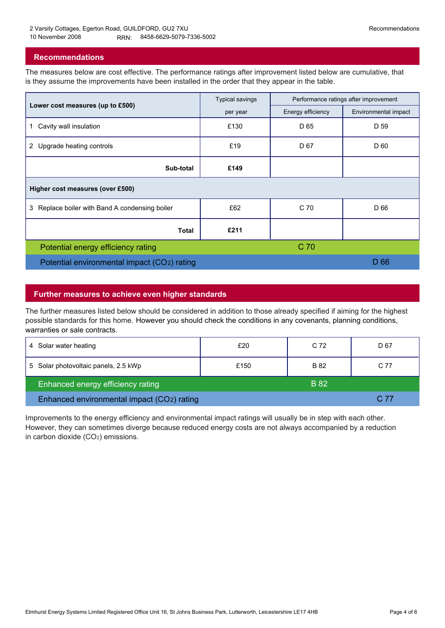### **Recommendations**

The measures below are cost effective. The performance ratings after improvement listed below are cumulative, that is they assume the improvements have been installed in the order that they appear in the table.

|                                                   | <b>Typical savings</b> | Performance ratings after improvement |                      |  |  |  |
|---------------------------------------------------|------------------------|---------------------------------------|----------------------|--|--|--|
| Lower cost measures (up to £500)                  | per year               | Energy efficiency                     | Environmental impact |  |  |  |
| Cavity wall insulation<br>$\mathbf 1$             | £130                   | D 65                                  | D 59                 |  |  |  |
| 2 Upgrade heating controls                        | £19                    | D 67                                  | D 60                 |  |  |  |
| Sub-total                                         | £149                   |                                       |                      |  |  |  |
| Higher cost measures (over £500)                  |                        |                                       |                      |  |  |  |
| Replace boiler with Band A condensing boiler<br>3 | £62                    | C 70                                  | D 66                 |  |  |  |
| Total                                             | £211                   |                                       |                      |  |  |  |
| Potential energy efficiency rating                |                        | C <sub>70</sub>                       |                      |  |  |  |
| Potential environmental impact (CO2) rating       |                        |                                       | D 66                 |  |  |  |

### **Further measures to achieve even higher standards**

The further measures listed below should be considered in addition to those already specified if aiming for the highest possible standards for this home. However you should check the conditions in any covenants, planning conditions, warranties or sale contracts.

| 4 Solar water heating                      | £20  | C 72        | D 67 |
|--------------------------------------------|------|-------------|------|
| 5 Solar photovoltaic panels, 2.5 kWp       | £150 | B 82        | C 77 |
| Enhanced energy efficiency rating          |      | <b>B</b> 82 |      |
| Enhanced environmental impact (CO2) rating |      |             | C 77 |

Improvements to the energy efficiency and environmental impact ratings will usually be in step with each other. However, they can sometimes diverge because reduced energy costs are not always accompanied by a reduction in carbon dioxide (CO2) emissions.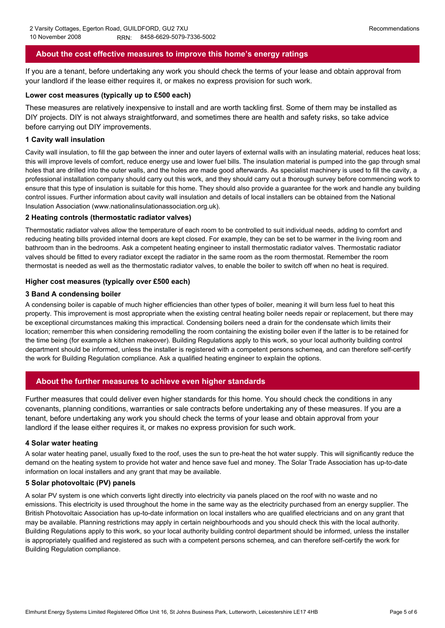### **About the cost effective measures to improve this home's energy ratings**

If you are a tenant, before undertaking any work you should check the terms of your lease and obtain approval from your landlord if the lease either requires it, or makes no express provision for such work.

#### **Lower cost measures (typically up to £500 each)**

These measures are relatively inexpensive to install and are worth tackling first. Some of them may be installed as DIY projects. DIY is not always straightforward, and sometimes there are health and safety risks, so take advice before carrying out DIY improvements.

#### **1 Cavity wall insulation**

Cavity wall insulation, to fill the gap between the inner and outer layers of external walls with an insulating material, reduces heat loss; this will improve levels of comfort, reduce energy use and lower fuel bills. The insulation material is pumped into the gap through small holes that are drilled into the outer walls, and the holes are made good afterwards. As specialist machinery is used to fill the cavity, a professional installation company should carry out this work, and they should carry out a thorough survey before commencing work to ensure that this type of insulation is suitable for this home. They should also provide a guarantee for the work and handle any building control issues. Further information about cavity wall insulation and details of local installers can be obtained from the National Insulation Association (www.nationalinsulationassociation.org.uk).

### **2 Heating controls (thermostatic radiator valves)**

Thermostatic radiator valves allow the temperature of each room to be controlled to suit individual needs, adding to comfort and reducing heating bills provided internal doors are kept closed. For example, they can be set to be warmer in the living room and bathroom than in the bedrooms. Ask a competent heating engineer to install thermostatic radiator valves. Thermostatic radiator valves should be fitted to every radiator except the radiator in the same room as the room thermostat. Remember the room thermostat is needed as well as the thermostatic radiator valves, to enable the boiler to switch off when no heat is required.

### **Higher cost measures (typically over £500 each)**

### **3 Band A condensing boiler**

A condensing boiler is capable of much higher efficiencies than other types of boiler, meaning it will burn less fuel to heat this property. This improvement is most appropriate when the existing central heating boiler needs repair or replacement, but there may be exceptional circumstances making this impractical. Condensing boilers need a drain for the condensate which limits their location; remember this when considering remodelling the room containing the existing boiler even if the latter is to be retained for the time being (for example a kitchen makeover). Building Regulations apply to this work, so your local authority building control department should be informed, unless the installer is registered with a competent persons schemeą, and can therefore self-certify the work for Building Regulation compliance. Ask a qualified heating engineer to explain the options.

### **About the further measures to achieve even higher standards**

Further measures that could deliver even higher standards for this home. You should check the conditions in any covenants, planning conditions, warranties or sale contracts before undertaking any of these measures. If you are a tenant, before undertaking any work you should check the terms of your lease and obtain approval from your landlord if the lease either requires it, or makes no express provision for such work.

#### **4 Solar water heating**

A solar water heating panel, usually fixed to the roof, uses the sun to pre-heat the hot water supply. This will significantly reduce the demand on the heating system to provide hot water and hence save fuel and money. The Solar Trade Association has up-to-date information on local installers and any grant that may be available.

### **5 Solar photovoltaic (PV) panels**

A solar PV system is one which converts light directly into electricity via panels placed on the roof with no waste and no emissions. This electricity is used throughout the home in the same way as the electricity purchased from an energy supplier. The British Photovoltaic Association has up-to-date information on local installers who are qualified electricians and on any grant that may be available. Planning restrictions may apply in certain neighbourhoods and you should check this with the local authority. Building Regulations apply to this work, so your local authority building control department should be informed, unless the installer is appropriately qualified and registered as such with a competent persons schemeą, and can therefore self-certify the work for Building Regulation compliance.